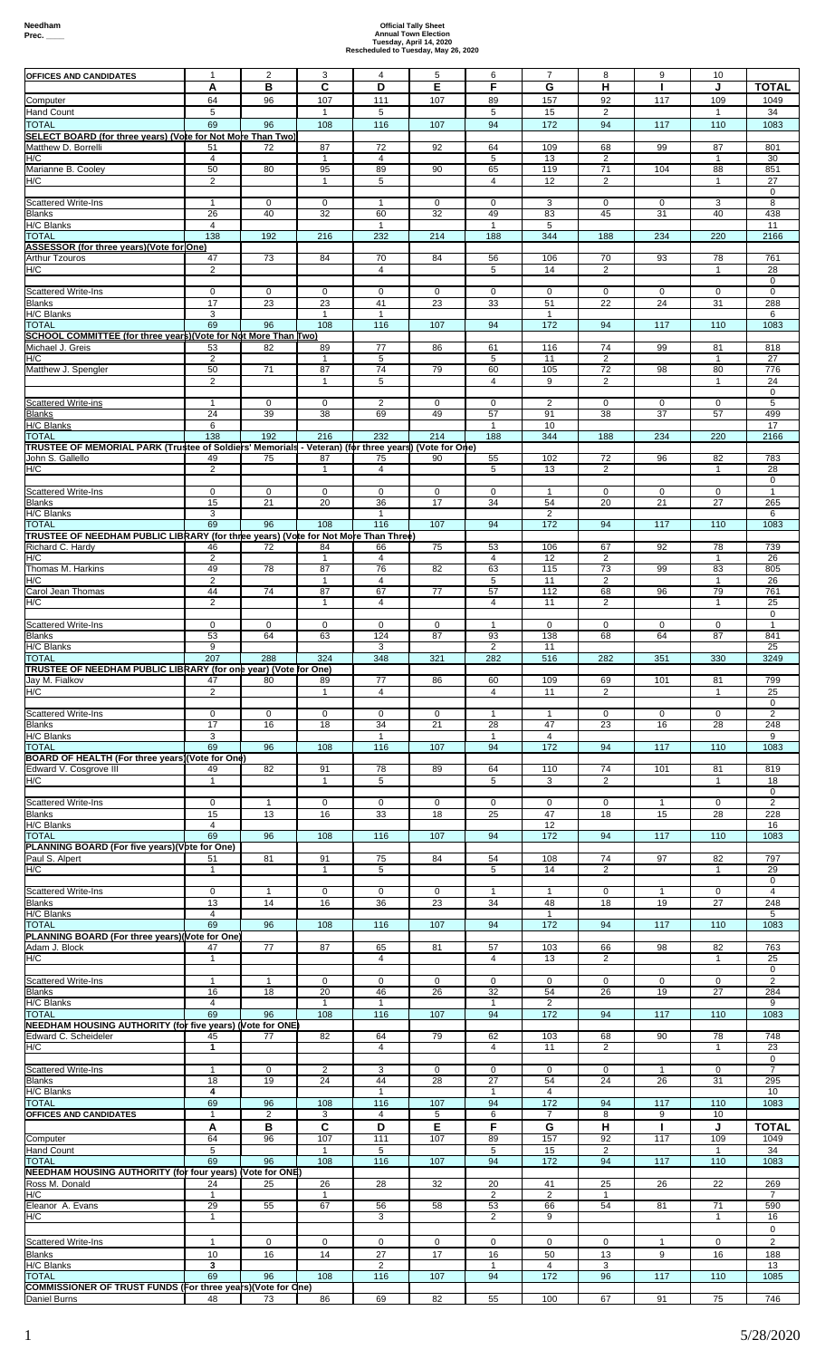| <b>OFFICES AND CANDIDATES</b>                                                                              | $\mathbf{1}$   | 2              | 3                       | 4              | 5           | 6              | $\overline{7}$ | 8              | 9            | 10           |                 |
|------------------------------------------------------------------------------------------------------------|----------------|----------------|-------------------------|----------------|-------------|----------------|----------------|----------------|--------------|--------------|-----------------|
|                                                                                                            | Α              | В              | C                       | D              | Е           | F              | G              | н              |              | J            | TOTAL           |
|                                                                                                            | 64             |                | 107                     | 111            | 107         |                | 157            | 92             | 117          | 109          | 1049            |
| Computer                                                                                                   |                | 96             |                         |                |             | 89             |                |                |              |              |                 |
| <b>Hand Count</b>                                                                                          | 5              |                | $\mathbf{1}$            | 5              |             | 5              | 15             | 2              |              | $\mathbf{1}$ | 34              |
| <b>TOTAL</b>                                                                                               | 69             | 96             | 108                     | 116            | 107         | 94             | 172            | 94             | 117          | 110          | 1083            |
| SELECT BOARD (for three years) (Vote for Not More Than Two)                                                |                |                |                         |                |             |                |                |                |              |              |                 |
| Matthew D. Borrelli                                                                                        | 51             | 72             | 87                      | 72             | 92          | 64             | 109            | 68             | 99           | 87           | 801             |
| H/C                                                                                                        |                |                | $\mathbf{1}$            | $\overline{4}$ |             | 5              |                |                |              | $\mathbf{1}$ | 30              |
|                                                                                                            | 4              |                |                         |                |             |                | 13             | $\overline{2}$ |              |              |                 |
| Marianne B. Cooley                                                                                         | 50             | 80             | 95                      | 89             | 90          | 65             | 119            | 71             | 104          | 88           | 851             |
| H/C                                                                                                        | 2              |                | 1                       | 5              |             | 4              | 12             | 2              |              | 1            | 27              |
|                                                                                                            |                |                |                         |                |             |                |                |                |              |              | 0               |
| <b>Scattered Write-Ins</b>                                                                                 | $\mathbf{1}$   | 0              | $\mathbf 0$             | $\mathbf{1}$   | 0           | 0              | 3              | 0              | $\mathbf 0$  | 3            | 8               |
|                                                                                                            |                |                |                         |                |             |                |                |                |              |              |                 |
| Blanks                                                                                                     | 26             | 40             | 32                      | 60             | 32          | 49             | 83             | 45             | 31           | 40           | 438             |
| H/C Blanks                                                                                                 | $\overline{4}$ |                |                         | $\overline{1}$ |             | $\mathbf{1}$   | 5              |                |              |              | 11              |
| <b>TOTAL</b>                                                                                               | 138            | 192            | 216                     | 232            | 214         | 188            | 344            | 188            | 234          | 220          | 2166            |
| ASSESSOR (for three years)(Vote for One)                                                                   |                |                |                         |                |             |                |                |                |              |              |                 |
|                                                                                                            |                |                |                         |                |             |                |                |                |              |              |                 |
| Arthur Tzouros                                                                                             | 47             | 73             | 84                      | 70             | 84          | 56             | 106            | 70             | 93           | 78           | 761             |
| H/C                                                                                                        | $\overline{2}$ |                |                         | $\overline{4}$ |             | 5              | 14             | $\overline{2}$ |              | 1            | 28              |
|                                                                                                            |                |                |                         |                |             |                |                |                |              |              | $\mathbf 0$     |
| <b>Scattered Write-Ins</b>                                                                                 | $\mathbf 0$    | $\mathbf 0$    | $\mathbf 0$             | $\mathbf 0$    | $\mathbf 0$ | 0              | $\mathbf 0$    | 0              | $\mathbf 0$  | $\mathbf 0$  | $\mathbf 0$     |
|                                                                                                            |                |                |                         |                |             |                |                |                |              |              |                 |
| Blanks                                                                                                     | 17             | 23             | 23                      | 41             | 23          | 33             | 51             | 22             | 24           | 31           | 288             |
| H/C Blanks                                                                                                 | 3              |                | $\overline{1}$          | $\mathbf{1}$   |             |                | 1              |                |              |              | 6               |
| <b>TOTAL</b>                                                                                               | 69             | 96             | 108                     | 116            | 107         | 94             | 172            | 94             | 117          | 110          | 1083            |
| SCHOOL COMMITTEE (for three years)(Vote for Not More Than Two)                                             |                |                |                         |                |             |                |                |                |              |              |                 |
| Michael J. Greis                                                                                           | 53             | 82             | 89                      | 77             | 86          | 61             | 116            | 74             | 99           | 81           | 818             |
|                                                                                                            |                |                |                         |                |             |                |                |                |              |              |                 |
| H/C                                                                                                        | $\overline{c}$ |                | $\overline{\mathbf{1}}$ | 5              |             | 5              | 11             | $\overline{2}$ |              | 1            | 27              |
| Matthew J. Spengler                                                                                        | 50             | 71             | 87                      | 74             | 79          | 60             | 105            | 72             | 98           | 80           | 776             |
|                                                                                                            | $\overline{2}$ |                | $\mathbf{1}$            | 5              |             | $\overline{4}$ | 9              | $\overline{2}$ |              | $\mathbf{1}$ | 24              |
|                                                                                                            |                |                |                         |                |             |                |                |                |              |              | 0               |
| <b>Scattered Write-ins</b>                                                                                 | -1             | $\mathbf 0$    | $\Omega$                | $\overline{c}$ | 0           | 0              | $\overline{2}$ | 0              | $\mathbf 0$  | $\Omega$     | $5\overline{)}$ |
|                                                                                                            |                |                |                         |                |             |                |                |                |              |              |                 |
| <b>Blanks</b>                                                                                              | 24             | 39             | 38                      | 69             | 49          | 57             | 91             | 38             | 37           | 57           | 499             |
| <b>H/C Blanks</b>                                                                                          | 6              |                |                         |                |             | $\mathbf{1}$   | 10             |                |              |              | 17              |
| <b>TOTAL</b>                                                                                               | 138            | 192            | 216                     | 232            | 214         | 188            | 344            | 188            | 234          | 220          | 2166            |
| (Vote for MEMORIAL PARK (Trustee of Soldiers' Memorials - Veteran) (for three years) (Vote for One)        |                |                |                         |                |             |                |                |                |              |              |                 |
| John S. Gallello                                                                                           | 49             | 75             | 87                      | 75             | 90          | 55             | 102            | 72             | 96           | 82           | 783             |
|                                                                                                            |                |                |                         |                |             |                |                |                |              |              |                 |
| H/C                                                                                                        | 2              |                | $\mathbf{1}$            | 4              |             | 5              | 13             | 2              |              | $\mathbf{1}$ | 28              |
|                                                                                                            |                |                |                         |                |             |                |                |                |              |              | 0               |
| <b>Scattered Write-Ins</b>                                                                                 | 0              | $\mathbf 0$    | $\mathbf 0$             | $\mathbf 0$    | 0           | 0              |                | 0              | 0            | 0            | $\mathbf{1}$    |
| <b>Blanks</b>                                                                                              | 15             | 21             | 20                      | 36             | 17          | 34             | 54             | 20             | 21           | 27           | 265             |
| H/C Blanks                                                                                                 | 3              |                |                         | $\mathbf{1}$   |             |                | $\overline{2}$ |                |              |              | 6               |
|                                                                                                            |                |                |                         |                |             |                |                |                |              |              |                 |
| <b>TOTAL</b>                                                                                               | 69             | 96             | 108                     | 116            | 107         | 94             | 172            | 94             | 117          | 110          | 1083            |
| TRUSTEE OF NEEDHAM PUBLIC LIBRARY (for three years) (Vote for Not More Than Three)                         |                |                |                         |                |             |                |                |                |              |              |                 |
| Richard C. Hardy                                                                                           | 46             | 72             | 84                      | 66             | 75          | 53             | 106            | 67             | 92           | 78           | 739             |
| H/C                                                                                                        | 2              |                | $\mathbf{1}$            | 4              |             | 4              | 12             | $\overline{2}$ |              | $\mathbf{1}$ | 26              |
|                                                                                                            |                |                |                         |                |             |                |                |                |              |              |                 |
| Thomas M. Harkins                                                                                          | 49             | 78             | 87                      | 76             | 82          | 63             | 115            | 73             | 99           | 83           | 805             |
| H/C                                                                                                        | $\overline{2}$ |                | $\mathbf{1}$            | $\overline{4}$ |             | 5              | 11             | $\overline{c}$ |              | $\mathbf{1}$ | 26              |
| Carol Jean Thomas                                                                                          | 44             | 74             | 87                      | 67             | 77          | 57             | 112            | 68             | 96           | 79           | 761             |
| H/C                                                                                                        | 2              |                | $\mathbf{1}$            | 4              |             | 4              | 11             | 2              |              | 1            | 25              |
|                                                                                                            |                |                |                         |                |             |                |                |                |              |              | 0               |
|                                                                                                            |                |                |                         |                |             |                |                |                |              |              |                 |
| Scattered Write-Ins                                                                                        | $\mathbf 0$    | $\mathbf 0$    | $\mathbf 0$             | $\mathbf 0$    | 0           | $\mathbf{1}$   | $\mathbf 0$    | 0              | $\mathbf 0$  | $\mathbf 0$  | $\mathbf{1}$    |
| <b>Blanks</b>                                                                                              | 53             | 64             | 63                      | 124            | 87          | 93             | 138            | 68             | 64           | 87           | 841             |
| H/C Blanks                                                                                                 | 9              |                |                         | 3              |             | $\overline{2}$ | 11             |                |              |              | 25              |
| <b>TOTAL</b>                                                                                               | 207            | 288            | 324                     | 348            | 321         | 282            | 516            | 282            | 351          | 330          | 3249            |
|                                                                                                            |                |                |                         |                |             |                |                |                |              |              |                 |
| TRUSTEE OF NEEDHAM PUBLIC LIBRARY (for one year) (Vote for One)                                            |                |                |                         |                |             |                |                |                |              |              |                 |
| Jay M. Fialkov                                                                                             | 47             | 80             | 89                      | 77             | 86          | 60             | 109            | 69             | 101          | 81           | 799             |
| H/C                                                                                                        | 2              |                | $\mathbf{1}$            | 4              |             | 4              | 11             | $\overline{2}$ |              | 1            | 25              |
|                                                                                                            |                |                |                         |                |             |                |                |                |              |              | $\mathbf 0$     |
| Scattered Write-Ins                                                                                        | $\mathbf 0$    | $\mathbf 0$    | $\mathbf 0$             |                | 0           | $\mathbf{1}$   | -1             | 0              | $\mathbf 0$  | $\mathbf 0$  |                 |
|                                                                                                            |                |                |                         |                |             |                |                |                |              |              |                 |
|                                                                                                            |                |                |                         | $\mathbf 0$    |             |                |                |                |              |              | 2               |
| <b>Blanks</b>                                                                                              | 17             | 16             | 18                      | 34             | 21          | 28             | 47             | 23             | 16           | 28           | 248             |
| H/C Blanks                                                                                                 | 3              |                |                         | $\mathbf{1}$   |             | $\mathbf{1}$   | $\overline{4}$ |                |              |              | 9               |
| <b>TOTAL</b>                                                                                               | 69             | 96             | 108                     | 116            | 107         | 94             | 172            | 94             | 117          | 110          | 1083            |
|                                                                                                            |                |                |                         |                |             |                |                |                |              |              |                 |
| BOARD OF HEALTH (For three years)(Vote for One)                                                            |                |                |                         |                |             |                |                |                |              |              |                 |
| Edward V. Cosgrove III                                                                                     | 49             | 82             | 91                      | 78             | 89          | 64             | 110            | 74             | 101          | 81           | 819             |
| H/C                                                                                                        | $\mathbf{1}$   |                | $\mathbf{1}$            | 5              |             | 5              | 3              | $\overline{c}$ |              | 1            | 18              |
|                                                                                                            |                |                |                         |                |             |                |                |                |              |              | 0               |
| <b>Scattered Write-Ins</b>                                                                                 | $\mathbf 0$    | $\mathbf{1}$   | $\mathbf 0$             | $\mathbf 0$    | 0           | 0              | $\mathbf 0$    | 0              | $\mathbf{1}$ | $\mathbf 0$  | 2               |
|                                                                                                            |                |                |                         |                |             |                |                |                |              |              |                 |
| <b>Blanks</b>                                                                                              | 15             | 13             | 16                      | 33             | 18          | 25             | 47             | 18             | 15           | 28           | 228             |
| H/C Blanks                                                                                                 | $\overline{4}$ |                |                         |                |             |                | 12             |                |              |              | 16              |
| <b>TOTAL</b>                                                                                               | 69             | 96             | 108                     | 116            | 107         | 94             | 172            | 94             | 117          | 110          | 1083            |
| PLANNING BOARD (For five years)(Vote for One)                                                              |                |                |                         |                |             |                |                |                |              |              |                 |
| Paul S. Alpert                                                                                             | 51             | 81             | 91                      | 75             | 84          | 54             | 108            | 74             | 97           | 82           | 797             |
| H/C                                                                                                        | -1             |                | -1                      | 5              |             | 5              | 14             | 2              |              | 1            | 29              |
|                                                                                                            |                |                |                         |                |             |                |                |                |              |              |                 |
|                                                                                                            |                |                |                         |                |             |                |                |                |              |              | $\mathbf 0$     |
| <b>Scattered Write-Ins</b>                                                                                 | $\mathbf 0$    | $\mathbf{1}$   | $\mathbf 0$             | $\mathbf 0$    | 0           | $\mathbf{1}$   | $\mathbf{1}$   | 0              | $\mathbf{1}$ | 0            | $\overline{4}$  |
| <b>Blanks</b>                                                                                              | 13             | 14             | 16                      | 36             | 23          | 34             | 48             | 18             | 19           | 27           | 248             |
| H/C Blanks                                                                                                 | 4              |                |                         |                |             |                | $\mathbf{1}$   |                |              |              | 5               |
| <b>TOTAL</b>                                                                                               | 69             | 96             | 108                     | 116            | 107         | 94             | 172            | 94             | 117          | 110          | 1083            |
|                                                                                                            |                |                |                         |                |             |                |                |                |              |              |                 |
| PLANNING BOARD (For three years)(Vote for One)                                                             |                |                |                         |                |             |                |                |                |              |              |                 |
| Adam J. Block                                                                                              | 47             | 77             | 87                      | 65             | 81          | 57             | 103            | 66             | 98           | 82           | 763             |
| H/C                                                                                                        | 1              |                |                         | $\overline{4}$ |             | 4              | 13             | 2              |              | 1            | 25              |
|                                                                                                            |                |                |                         |                |             |                |                |                |              |              | $\mathbf 0$     |
|                                                                                                            | $\mathbf{1}$   | $\mathbf{1}$   | $\mathbf 0$             |                |             |                | $\mathbf 0$    |                |              |              |                 |
| <b>Scattered Write-Ins</b>                                                                                 |                |                |                         | $\mathbf 0$    | 0           | 0              |                | 0              | 0            | 0            | 2               |
| <b>Blanks</b>                                                                                              | 16             | 18             | 20                      | 46             | 26          | 32             | 54             | 26             | 19           | 27           | 284             |
| H/C Blanks                                                                                                 | $\overline{4}$ |                | $\mathbf{1}$            | $\mathbf{1}$   |             | $\mathbf{1}$   | $\overline{2}$ |                |              |              | 9               |
| <b>TOTAL</b>                                                                                               | 69             | 96             | 108                     | 116            | 107         | 94             | 172            | 94             | 117          | 110          | 1083            |
| NEEDHAM HOUSING AUTHORITY (for five years) (Vote for ONE)                                                  |                |                |                         |                |             |                |                |                |              |              |                 |
| Edward C. Scheideler                                                                                       | 45             | 77             | 82                      | 64             | 79          | 62             | 103            | 68             | 90           | 78           | 748             |
|                                                                                                            |                |                |                         |                |             |                |                |                |              | 1            |                 |
| H/C                                                                                                        | 1              |                |                         | 4              |             | 4              | 11             | 2              |              |              | 23              |
|                                                                                                            |                |                |                         |                |             |                |                |                |              |              | $\mathbf 0$     |
| <b>Scattered Write-Ins</b>                                                                                 | $\mathbf{1}$   | 0              | $\overline{2}$          | 3              | 0           | 0              | $\mathbf 0$    | 0              | $\mathbf{1}$ | $\mathbf 0$  | $\overline{7}$  |
| <b>Blanks</b>                                                                                              | 18             | 19             | 24                      | 44             | 28          | 27             | 54             | 24             | 26           | 31           | 295             |
|                                                                                                            | 4              |                |                         | $\mathbf{1}$   |             | 1              | $\overline{4}$ |                |              |              | 10              |
| H/C Blanks                                                                                                 |                |                |                         |                |             |                |                |                |              |              |                 |
| <b>TOTAL</b>                                                                                               | 69             | 96             | 108                     | 116            | 107         | 94             | 172            | 94             | 117          | 110          | 1083            |
| OFFICES AND CANDIDATES                                                                                     | $\mathbf{1}$   | $\overline{c}$ | 3                       | 4              | 5           | 6              | $\overline{7}$ | 8              | 9            | 10           |                 |
|                                                                                                            | A              | В              | C                       | D              | Е           | F              | G              | н              | л            | J            | <b>TOTAL</b>    |
|                                                                                                            |                |                |                         |                |             |                |                |                |              |              |                 |
|                                                                                                            | 64             | 96             | 107                     | 111            | 107         | 89             | 157            | 92             | 117          | 109          | 1049            |
|                                                                                                            | 5              |                | $\mathbf{1}$            | 5              |             | 5              | 15             | 2              |              | $\mathbf{1}$ | 34              |
|                                                                                                            | 69             | 96             | 108                     | 116            | 107         | 94             | 172            | 94             | 117          | 110          | 1083            |
| Computer<br><b>Hand Count</b><br><b>TOTAL</b><br>NEEDHAM HOUSING AUTHORITY (for four years) (Vote for ONE) |                |                |                         |                |             |                |                |                |              |              |                 |
|                                                                                                            | 24             |                |                         |                | 32          |                | 41             |                | 26           | 22           |                 |
|                                                                                                            |                | 25             | 26                      | 28             |             | 20             |                | 25             |              |              | 269             |
|                                                                                                            | $\mathbf{1}$   |                | $\mathbf{1}$            |                |             | $\overline{2}$ | $\overline{2}$ | $\mathbf{1}$   |              |              | $\overline{7}$  |
| Ross M. Donald<br>H/C<br>Eleanor A. Evans                                                                  | 29             | 55             | 67                      | 56             | 58          | 53             | 66             | 54             | 81           | 71           | 590             |
| H/C                                                                                                        | $\mathbf{1}$   |                |                         | 3              |             | 2              | 9              |                |              | $\mathbf{1}$ | 16              |
|                                                                                                            |                |                |                         |                |             |                |                |                |              |              | 0               |
|                                                                                                            |                |                |                         |                |             |                |                |                |              |              |                 |
| <b>Scattered Write-Ins</b>                                                                                 | 1              | 0              | 0                       | 0              | 0           | 0              | 0              | 0              | 1            | 0            | $\overline{2}$  |
| <b>Blanks</b>                                                                                              | 10             | 16             | 14                      | 27             | 17          | 16             | 50             | 13             | 9            | 16           | 188             |
| H/C Blanks                                                                                                 | 3              |                |                         | 2              |             | $\mathbf{1}$   | 4              | 3              |              |              | 13              |
| <b>TOTAL</b>                                                                                               | 69             | 96             | 108                     | 116            | 107         | 94             | 172            | 96             | 117          | 110          | 1085            |
| COMMISSIONER OF TRUST FUNDS (For three years)(Vote for One)                                                |                |                |                         |                |             |                |                |                |              |              |                 |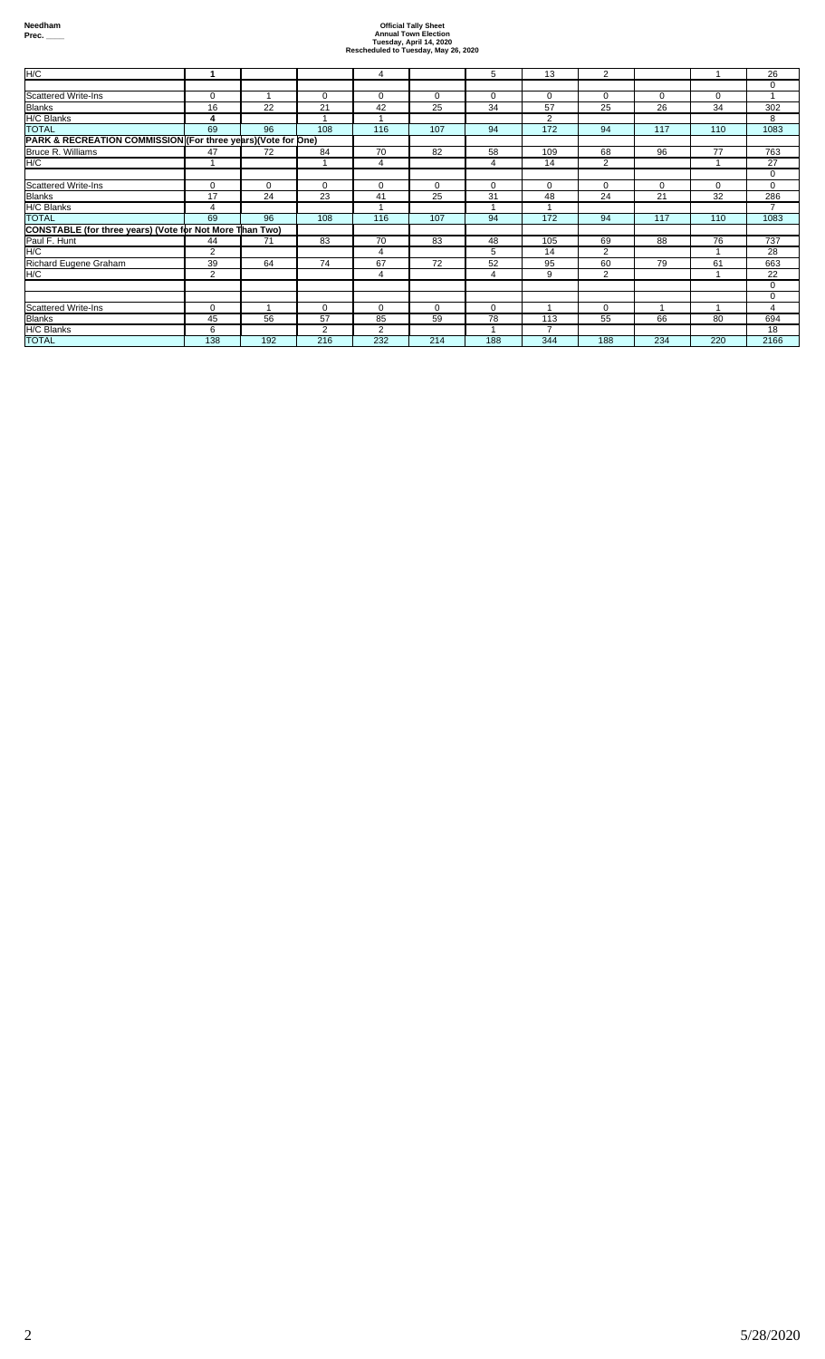| H/C                                                           |             |          |             | 4              |             | 5           | 13             | 2              |          |     | 26             |
|---------------------------------------------------------------|-------------|----------|-------------|----------------|-------------|-------------|----------------|----------------|----------|-----|----------------|
|                                                               |             |          |             |                |             |             |                |                |          |     | $\Omega$       |
| <b>Scattered Write-Ins</b>                                    | $\mathbf 0$ |          | $\mathbf 0$ | 0              | $\mathbf 0$ | 0           | 0              | 0              | 0        | 0   |                |
| <b>Blanks</b>                                                 | 16          | 22       | 21          | 42             | 25          | 34          | 57             | 25             | 26       | 34  | 302            |
| H/C Blanks                                                    | 4           |          |             |                |             |             | $\overline{2}$ |                |          |     | 8              |
| <b>TOTAL</b>                                                  | 69          | 96       | 108         | 116            | 107         | 94          | 172            | 94             | 117      | 110 | 1083           |
| PARK & RECREATION COMMISSION (For three years) (Vote for One) |             |          |             |                |             |             |                |                |          |     |                |
| Bruce R. Williams                                             | 47          | 72       | 84          | 70             | 82          | 58          | 109            | 68             | 96       | 77  | 763            |
| H/C                                                           |             |          |             | 4              |             | 4           | 14             | $\overline{2}$ |          |     | 27             |
|                                                               |             |          |             |                |             |             |                |                |          |     | $\mathbf 0$    |
| <b>Scattered Write-Ins</b>                                    | $\mathbf 0$ | $\Omega$ | $\Omega$    | $\mathbf 0$    | $\Omega$    | 0           | $\mathbf 0$    | $\Omega$       | $\Omega$ | 0   | $\mathbf 0$    |
| <b>Blanks</b>                                                 | 17          | 24       | 23          | 41             | 25          | 31          | 48             | 24             | 21       | 32  | 286            |
| H/C Blanks                                                    | 4           |          |             |                |             |             |                |                |          |     |                |
| <b>TOTAL</b>                                                  | 69          | 96       | 108         | 116            | 107         | 94          | 172            | 94             | 117      | 110 | 1083           |
| CONSTABLE (for three years) (Vote for Not More Than Two)      |             |          |             |                |             |             |                |                |          |     |                |
| Paul F. Hunt                                                  | 44          | 71       | 83          | 70             | 83          | 48          | 105            | 69             | 88       | 76  | 737            |
| H/C                                                           | 2           |          |             | 4              |             | 5           | 14             | $\overline{2}$ |          |     | 28             |
| Richard Eugene Graham                                         | 39          | 64       | 74          | 67             | 72          | 52          | 95             | 60             | 79       | 61  | 663            |
| H/C                                                           | 2           |          |             | 4              |             | 4           | 9              | $\overline{2}$ |          |     | 22             |
|                                                               |             |          |             |                |             |             |                |                |          |     | $\mathbf 0$    |
|                                                               |             |          |             |                |             |             |                |                |          |     | $\mathbf 0$    |
| <b>Scattered Write-Ins</b>                                    | $\mathbf 0$ |          | $\mathbf 0$ | $\mathbf 0$    | $\Omega$    | $\mathbf 0$ |                | $\Omega$       |          |     | $\overline{4}$ |
| <b>Blanks</b>                                                 | 45          | 56       | 57          | 85             | 59          | 78          | 113            | 55             | 66       | 80  | 694            |
| H/C Blanks                                                    | 6           |          | 2           | $\overline{2}$ |             |             | $\overline{ }$ |                |          |     | 18             |
| <b>TOTAL</b>                                                  | 138         | 192      | 216         | 232            | 214         | 188         | 344            | 188            | 234      | 220 | 2166           |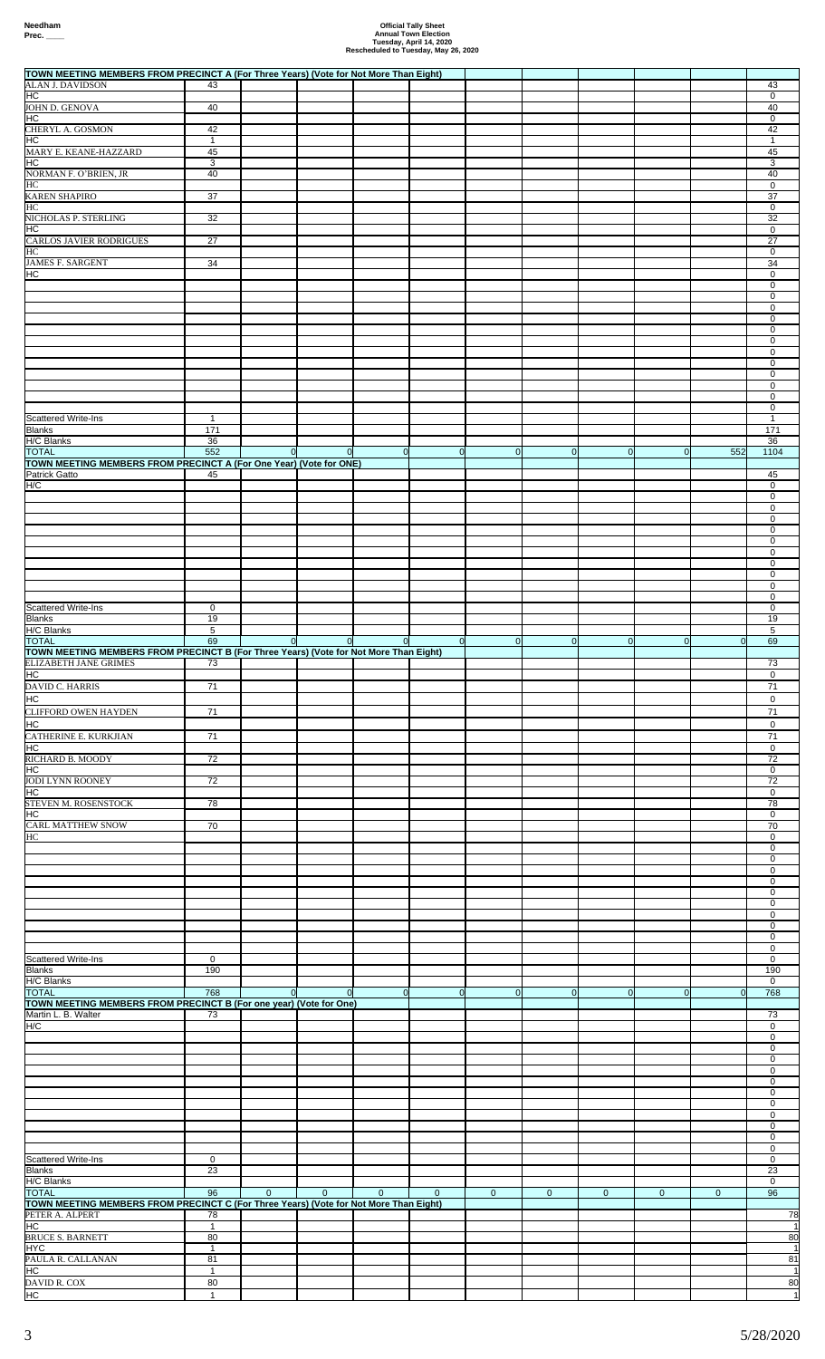| TOWN MEETING MEMBERS FROM PRECINCT A (For Three Years) (Vote for Not More Than Eight)                                                                   |                          |               |                |                |             |                |                |                |                |              |                                                                         |
|---------------------------------------------------------------------------------------------------------------------------------------------------------|--------------------------|---------------|----------------|----------------|-------------|----------------|----------------|----------------|----------------|--------------|-------------------------------------------------------------------------|
| <b>ALAN J. DAVIDSON</b><br>HC                                                                                                                           | 43                       |               |                |                |             |                |                |                |                |              | 43<br>0                                                                 |
| <b>JOHN D. GENOVA</b><br>HC                                                                                                                             | 40                       |               |                |                |             |                |                |                |                |              | 40<br>$\mathbf 0$                                                       |
| CHERYL A. GOSMON                                                                                                                                        | 42                       |               |                |                |             |                |                |                |                |              | 42                                                                      |
| HC<br>MARY E. KEANE-HAZZARD                                                                                                                             | 1<br>45                  |               |                |                |             |                |                |                |                |              | 1<br>45                                                                 |
| HC<br>NORMAN F. O'BRIEN, JR                                                                                                                             | 3<br>40                  |               |                |                |             |                |                |                |                |              | 3<br>40                                                                 |
| HС                                                                                                                                                      |                          |               |                |                |             |                |                |                |                |              | 0                                                                       |
| <b>KAREN SHAPIRO</b><br>HС                                                                                                                              | 37                       |               |                |                |             |                |                |                |                |              | 37<br>$\mathbf 0$                                                       |
| NICHOLAS P. STERLING<br>HС                                                                                                                              | 32                       |               |                |                |             |                |                |                |                |              | 32<br>0                                                                 |
| CARLOS JAVIER RODRIGUES                                                                                                                                 | 27                       |               |                |                |             |                |                |                |                |              | 27                                                                      |
| HС<br><b>JAMES F. SARGENT</b>                                                                                                                           | 34                       |               |                |                |             |                |                |                |                |              | $\mathbf 0$<br>34                                                       |
| НC                                                                                                                                                      |                          |               |                |                |             |                |                |                |                |              | 0<br>$\mathbf 0$                                                        |
|                                                                                                                                                         |                          |               |                |                |             |                |                |                |                |              | 0                                                                       |
|                                                                                                                                                         |                          |               |                |                |             |                |                |                |                |              | 0<br>0                                                                  |
|                                                                                                                                                         |                          |               |                |                |             |                |                |                |                |              | $\mathbf 0$<br>0                                                        |
|                                                                                                                                                         |                          |               |                |                |             |                |                |                |                |              | 0                                                                       |
|                                                                                                                                                         |                          |               |                |                |             |                |                |                |                |              | 0<br>$\mathbf 0$                                                        |
|                                                                                                                                                         |                          |               |                |                |             |                |                |                |                |              | 0<br>0                                                                  |
| Scattered Write-Ins                                                                                                                                     | $\mathbf{1}$             |               |                |                |             |                |                |                |                |              | 0<br>$\mathbf{1}$                                                       |
| <b>Blanks</b>                                                                                                                                           | $\overline{171}$         |               |                |                |             |                |                |                |                |              | 171                                                                     |
| H/C Blanks<br><b>TOTAL</b>                                                                                                                              | 36<br>552                | $\Omega$      | $\overline{0}$ | $\overline{0}$ | $\Omega$    | $\overline{0}$ | $\Omega$       | $\Omega$       | $\overline{0}$ | 552          | 36<br>1104                                                              |
| TOWN MEETING MEMBERS FROM PRECINCT A (For One Year) (Vote for ONE)<br>Patrick Gatto                                                                     | 45                       |               |                |                |             |                |                |                |                |              | 45                                                                      |
| H/C                                                                                                                                                     |                          |               |                |                |             |                |                |                |                |              | 0                                                                       |
|                                                                                                                                                         |                          |               |                |                |             |                |                |                |                |              | 0<br>$\mathbf 0$                                                        |
|                                                                                                                                                         |                          |               |                |                |             |                |                |                |                |              | 0<br>0                                                                  |
|                                                                                                                                                         |                          |               |                |                |             |                |                |                |                |              | 0                                                                       |
|                                                                                                                                                         |                          |               |                |                |             |                |                |                |                |              | $\mathbf 0$<br>0                                                        |
|                                                                                                                                                         |                          |               |                |                |             |                |                |                |                |              | 0<br>0                                                                  |
|                                                                                                                                                         |                          |               |                |                |             |                |                |                |                |              | $\mathbf 0$                                                             |
| <b>Scattered Write-Ins</b><br>Blanks                                                                                                                    | $\mathbf 0$<br>19        |               |                |                |             |                |                |                |                |              | $\mathbf 0$<br>19                                                       |
| H/C Blanks<br><b>TOTAL</b>                                                                                                                              | 5<br>69                  | $\circ$       | $\overline{0}$ | $\mathbf 0$    | $\Omega$    | $\overline{0}$ | $\Omega$       | $\overline{0}$ | $\overline{0}$ | <sub>0</sub> | 5<br>69                                                                 |
| TOWN MEETING MEMBERS FROM PRECINCT B (For Three Years) (Vote for Not More Than Eight)                                                                   |                          |               |                |                |             |                |                |                |                |              |                                                                         |
| ELIZABETH JANE GRIMES<br>H <sub>C</sub>                                                                                                                 | $\sqrt{73}$              |               |                |                |             |                |                |                |                |              | 73<br>0                                                                 |
| DAVID C. HARRIS                                                                                                                                         | 71                       |               |                |                |             |                |                |                |                |              | 71                                                                      |
| HC<br>CLIFFORD OWEN HAYDEN                                                                                                                              | 71                       |               |                |                |             |                |                |                |                |              | 0<br>71                                                                 |
| HC                                                                                                                                                      |                          |               |                |                |             |                |                |                |                |              | 0                                                                       |
|                                                                                                                                                         |                          |               |                |                |             |                |                |                |                |              |                                                                         |
|                                                                                                                                                         | 71                       |               |                |                |             |                |                |                |                |              | 71<br>0                                                                 |
|                                                                                                                                                         | $\overline{72}$          |               |                |                |             |                |                |                |                |              | $\overline{72}$<br>0                                                    |
|                                                                                                                                                         | 72                       |               |                |                |             |                |                |                |                |              | 72                                                                      |
| CATHERINE E. KURKJIAN<br>HC<br>RICHARD B. MOODY<br>HC<br><b>JODI LYNN ROONEY</b><br>HC<br>STEVEN M. ROSENSTOCK                                          | 78                       |               |                |                |             |                |                |                |                |              | 0<br>78                                                                 |
| HC                                                                                                                                                      |                          |               |                |                |             |                |                |                |                |              | $\mathbf 0$                                                             |
| CARL MATTHEW SNOW<br>HС                                                                                                                                 | 70                       |               |                |                |             |                |                |                |                |              | 70<br>0                                                                 |
|                                                                                                                                                         |                          |               |                |                |             |                |                |                |                |              | $\mathbf 0$<br>0                                                        |
|                                                                                                                                                         |                          |               |                |                |             |                |                |                |                |              | 0<br>0                                                                  |
|                                                                                                                                                         |                          |               |                |                |             |                |                |                |                |              | 0                                                                       |
|                                                                                                                                                         |                          |               |                |                |             |                |                |                |                |              | $\mathsf 0$<br>0                                                        |
|                                                                                                                                                         |                          |               |                |                |             |                |                |                |                |              | 0<br>$\mathbf 0$                                                        |
|                                                                                                                                                         |                          |               |                |                |             |                |                |                |                |              | 0                                                                       |
|                                                                                                                                                         | $\mathbf 0$<br>190       |               |                |                |             |                |                |                |                |              | $\mathbf 0$<br>190                                                      |
| Scattered Write-Ins<br><b>Blanks</b><br>H/C Blanks<br><b>TOTAL</b>                                                                                      | 768                      | <sup>ol</sup> | $\overline{0}$ | $\overline{0}$ | $\Omega$    | $\overline{0}$ | $\overline{0}$ | $\overline{0}$ | $\overline{0}$ | <sub>0</sub> | 0<br>768                                                                |
|                                                                                                                                                         | 73                       |               |                |                |             |                |                |                |                |              | 73                                                                      |
|                                                                                                                                                         |                          |               |                |                |             |                |                |                |                |              | $\mathbf 0$                                                             |
| TOWN MEETING MEMBERS FROM PRECINCT B (For one year) (Vote for One)<br>Martin L. B. Walter<br>H/C                                                        |                          |               |                |                |             |                |                |                |                |              | 0<br>0                                                                  |
|                                                                                                                                                         |                          |               |                |                |             |                |                |                |                |              | 0<br>0                                                                  |
|                                                                                                                                                         |                          |               |                |                |             |                |                |                |                |              | $\mathsf 0$                                                             |
|                                                                                                                                                         |                          |               |                |                |             |                |                |                |                |              | 0<br>0                                                                  |
|                                                                                                                                                         |                          |               |                |                |             |                |                |                |                |              | $\mathbf 0$<br>0                                                        |
|                                                                                                                                                         |                          |               |                |                |             |                |                |                |                |              | 0                                                                       |
| Scattered Write-Ins                                                                                                                                     | $\mathbf 0$              |               |                |                |             |                |                |                |                |              | 0<br>0                                                                  |
|                                                                                                                                                         | $\overline{23}$          |               |                |                |             |                |                |                |                |              | 23                                                                      |
|                                                                                                                                                         | 96                       | $\mathbf{0}$  | $\mathbf{0}$   | $\mathbf{0}$   | $\mathbf 0$ | $\mathbf 0$    | $\mathbf 0$    | $\mathbf 0$    | $\mathbf{0}$   | $\mathbf 0$  | $\mathsf 0$<br>96                                                       |
| <b>Blanks</b><br>H/C Blanks<br><b>TOTAL</b><br>TOWN MEETING MEMBERS FROM PRECINCT C (For Three Years) (Vote for Not More Than Eight)<br>PETER A. ALPERT | 78                       |               |                |                |             |                |                |                |                |              | 78                                                                      |
| HC                                                                                                                                                      | $\mathbf{1}$<br>80       |               |                |                |             |                |                |                |                |              |                                                                         |
| <b>BRUCE S. BARNETT</b><br><b>HYC</b>                                                                                                                   | $\mathbf{1}$             |               |                |                |             |                |                |                |                |              | 80<br>$\mathbf{1}$                                                      |
| PAULA R. CALLANAN<br><b>HC</b><br>DAVID R. COX                                                                                                          | 81<br>$\mathbf{1}$<br>80 |               |                |                |             |                |                |                |                |              | 81<br>$\vert$ 1<br>$\begin{array}{c}\n 80 \\  \hline\n 1\n \end{array}$ |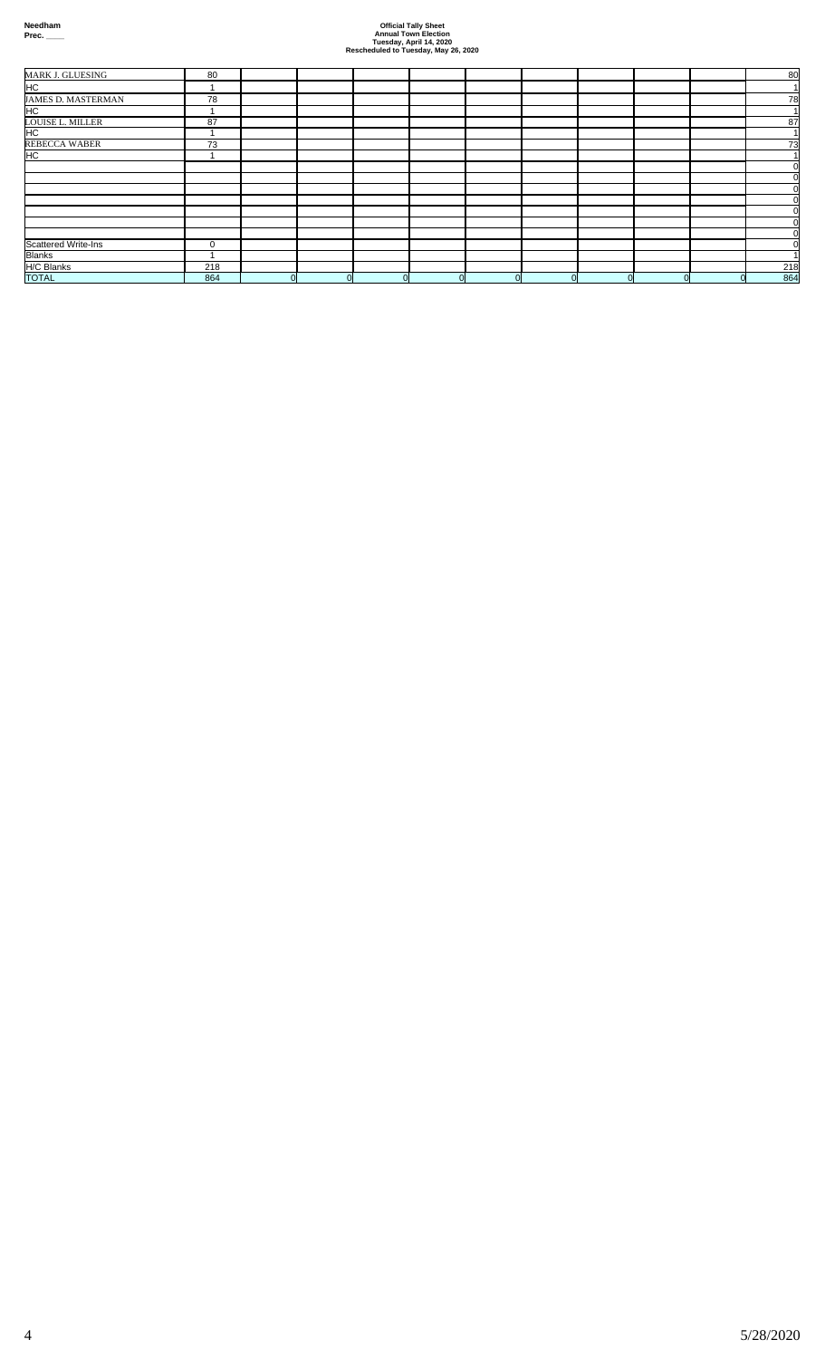| MARK J. GLUESING              | 80          |          |          |  |   |          |    |  | 80       |
|-------------------------------|-------------|----------|----------|--|---|----------|----|--|----------|
| HC                            |             |          |          |  |   |          |    |  |          |
| JAMES D. MASTERMAN            | 78          |          |          |  |   |          |    |  | 78       |
| HC                            |             |          |          |  |   |          |    |  |          |
| <b>LOUISE L. MILLER</b><br>HC | 87          |          |          |  |   |          |    |  | 87       |
|                               |             |          |          |  |   |          |    |  |          |
| <b>REBECCA WABER</b>          | 73          |          |          |  |   |          |    |  | 73       |
| H <sub>C</sub>                |             |          |          |  |   |          |    |  |          |
|                               |             |          |          |  |   |          |    |  | $\Omega$ |
|                               |             |          |          |  |   |          |    |  |          |
|                               |             |          |          |  |   |          |    |  |          |
|                               |             |          |          |  |   |          |    |  |          |
|                               |             |          |          |  |   |          |    |  | ΩI       |
|                               |             |          |          |  |   |          |    |  | $\Omega$ |
|                               |             |          |          |  |   |          |    |  |          |
| <b>Scattered Write-Ins</b>    | $\mathbf 0$ |          |          |  |   |          |    |  |          |
| <b>Blanks</b>                 |             |          |          |  |   |          |    |  |          |
| H/C Blanks                    | 218         |          |          |  |   |          |    |  | 218      |
| <b>TOTAL</b>                  | 864         | $\Omega$ | $\Omega$ |  | n | $\Omega$ | ΩI |  | 864      |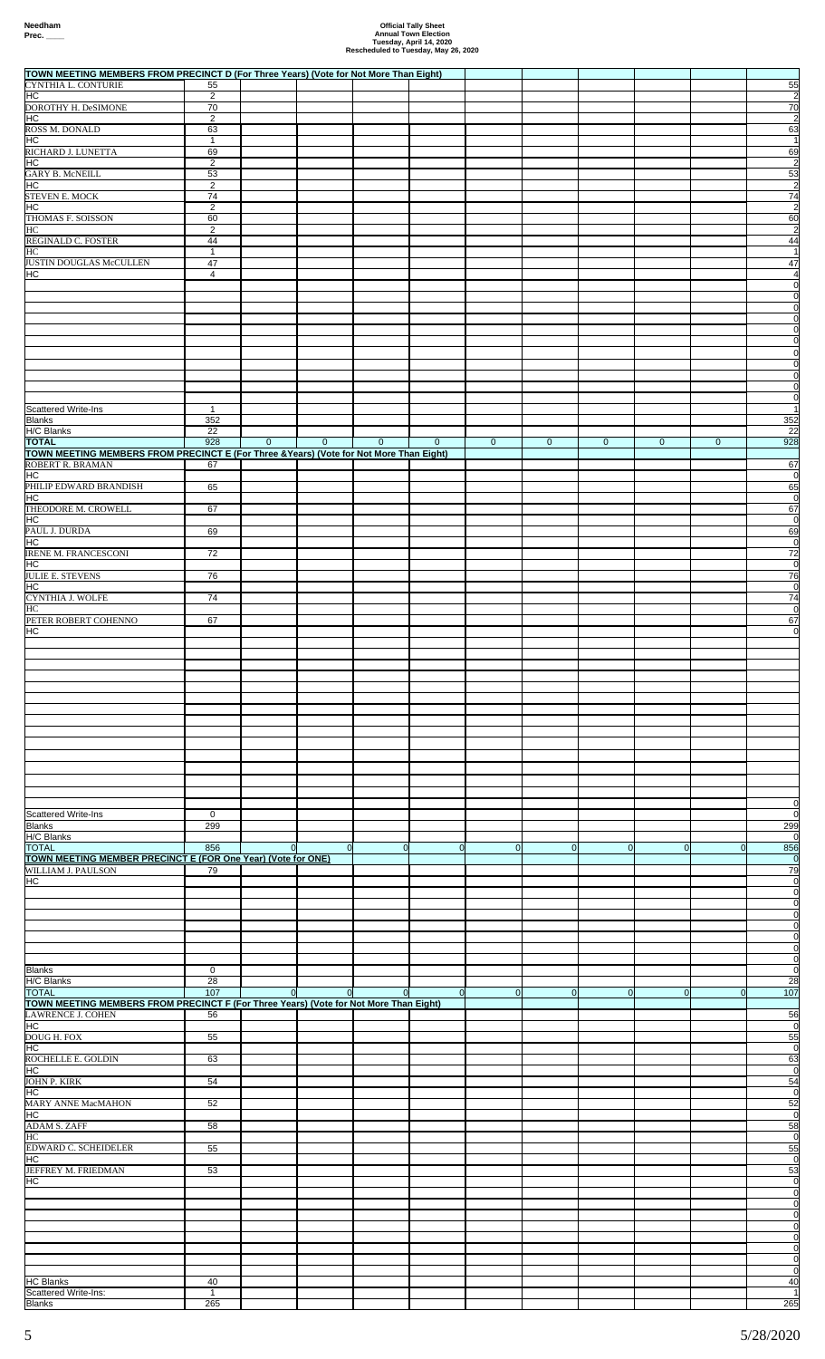| TOWN MEETING MEMBERS FROM PRECINCT D (For Three Years) (Vote for Not More Than Eight)                   |                      |                |                |              |                |             |              |                |                |             |                                  |
|---------------------------------------------------------------------------------------------------------|----------------------|----------------|----------------|--------------|----------------|-------------|--------------|----------------|----------------|-------------|----------------------------------|
| CYNTHIA L. CONTURIE<br>HC                                                                               | 55<br>2              |                |                |              |                |             |              |                |                |             | 55<br>$\overline{c}$             |
| DOROTHY H. DeSIMONE<br>HC                                                                               | 70<br>$\overline{2}$ |                |                |              |                |             |              |                |                |             | 70<br>$\overline{2}$             |
| ROSS M. DONALD                                                                                          | 63                   |                |                |              |                |             |              |                |                |             | 63                               |
| HC<br>RICHARD J. LUNETTA                                                                                | $\mathbf{1}$<br>69   |                |                |              |                |             |              |                |                |             | $\overline{1}$<br>69             |
| HC<br><b>GARY B. McNEILL</b>                                                                            | 2<br>53              |                |                |              |                |             |              |                |                |             | $\overline{c}$<br>53             |
| HC<br>STEVEN E. MOCK                                                                                    | $\overline{2}$<br>74 |                |                |              |                |             |              |                |                |             | $\overline{2}$<br>74             |
| HC                                                                                                      | $\overline{2}$       |                |                |              |                |             |              |                |                |             | $\overline{2}$                   |
| THOMAS F. SOISSON<br>НC                                                                                 | 60<br>$\overline{2}$ |                |                |              |                |             |              |                |                |             | 60<br>$\overline{c}$             |
| REGINALD C. FOSTER<br>HС                                                                                | 44<br>$\mathbf{1}$   |                |                |              |                |             |              |                |                |             | 44<br>$\overline{1}$             |
| JUSTIN DOUGLAS McCULLEN                                                                                 | $\overline{47}$      |                |                |              |                |             |              |                |                |             | 47                               |
| HC                                                                                                      | 4                    |                |                |              |                |             |              |                |                |             | $\overline{4}$<br>$\overline{0}$ |
|                                                                                                         |                      |                |                |              |                |             |              |                |                |             | $\overline{0}$<br>$\overline{0}$ |
|                                                                                                         |                      |                |                |              |                |             |              |                |                |             | $\overline{0}$                   |
|                                                                                                         |                      |                |                |              |                |             |              |                |                |             | $\overline{0}$<br>$\overline{0}$ |
|                                                                                                         |                      |                |                |              |                |             |              |                |                |             | $\overline{0}$<br>$\overline{0}$ |
|                                                                                                         |                      |                |                |              |                |             |              |                |                |             | $\overline{0}$                   |
|                                                                                                         |                      |                |                |              |                |             |              |                |                |             | $\overline{0}$<br>$\overline{0}$ |
| <b>Scattered Write-Ins</b><br><b>Blanks</b>                                                             | 1<br>352             |                |                |              |                |             |              |                |                |             | $\overline{1}$<br>352            |
| <b>H/C Blanks</b>                                                                                       | 22                   |                |                |              |                |             |              |                |                |             | 22                               |
| <b>TOTAL</b><br>TOWN MEETING MEMBERS FROM PRECINCT E (For Three & Years) (Vote for Not More Than Eight) | 928                  | $\mathbf{0}$   | $\mathbf{0}$   | $\mathbf 0$  | $\mathbf 0$    | $\mathbf 0$ | $\mathbf{0}$ | $\mathbf 0$    | $\mathbf 0$    | $\mathbf 0$ | 928                              |
| ROBERT R. BRAMAN<br>HC                                                                                  | 67                   |                |                |              |                |             |              |                |                |             | 67<br>$\overline{0}$             |
| PHILIP EDWARD BRANDISH<br>HC                                                                            | 65                   |                |                |              |                |             |              |                |                |             | 65<br>$\overline{0}$             |
| THEODORE M. CROWELL                                                                                     | 67                   |                |                |              |                |             |              |                |                |             | 67                               |
| HC<br>PAUL J. DURDA                                                                                     | 69                   |                |                |              |                |             |              |                |                |             | $\overline{0}$<br>69             |
| HC<br><b>IRENE M. FRANCESCONI</b>                                                                       | 72                   |                |                |              |                |             |              |                |                |             | $\overline{0}$<br>72             |
| HC                                                                                                      |                      |                |                |              |                |             |              |                |                |             | $\overline{0}$                   |
| JULIE E. STEVENS<br>HC                                                                                  | 76                   |                |                |              |                |             |              |                |                |             | 76<br>$\overline{0}$             |
| CYNTHIA J. WOLFE<br>HС                                                                                  | 74                   |                |                |              |                |             |              |                |                |             | 74<br>$\overline{0}$             |
| PETER ROBERT COHENNO                                                                                    | 67                   |                |                |              |                |             |              |                |                |             | 67                               |
| HC                                                                                                      |                      |                |                |              |                |             |              |                |                |             | $\Omega$                         |
|                                                                                                         |                      |                |                |              |                |             |              |                |                |             |                                  |
|                                                                                                         |                      |                |                |              |                |             |              |                |                |             |                                  |
|                                                                                                         |                      |                |                |              |                |             |              |                |                |             |                                  |
|                                                                                                         |                      |                |                |              |                |             |              |                |                |             |                                  |
|                                                                                                         |                      |                |                |              |                |             |              |                |                |             |                                  |
|                                                                                                         |                      |                |                |              |                |             |              |                |                |             |                                  |
|                                                                                                         |                      |                |                |              |                |             |              |                |                |             |                                  |
|                                                                                                         |                      |                |                |              |                |             |              |                |                |             |                                  |
| <b>Scattered Write-Ins</b>                                                                              | $\mathbf 0$          |                |                |              |                |             |              |                |                |             | $\overline{0}$<br>$\overline{0}$ |
| <b>Blanks</b>                                                                                           | 299                  |                |                |              |                |             |              |                |                |             | 299                              |
| H/C Blanks<br><b>TOTAL</b>                                                                              | 856                  | $\overline{0}$ | $\overline{0}$ | $\mathbf 0$  | $\mathbf{0}$   | $\Omega$    | $\Omega$     | $\overline{0}$ | $\overline{0}$ | $\Omega$    | $\overline{0}$<br>856            |
| TOWN MEETING MEMBER PRECINCT E (FOR One Year) (Vote for ONE)<br>WILLIAM J. PAULSON                      | 79                   |                |                |              |                |             |              |                |                |             | $\overline{0}$<br>79             |
| HC                                                                                                      |                      |                |                |              |                |             |              |                |                |             | $\overline{0}$                   |
|                                                                                                         |                      |                |                |              |                |             |              |                |                |             | $\overline{0}$<br>$\overline{0}$ |
|                                                                                                         |                      |                |                |              |                |             |              |                |                |             | $\overline{0}$<br>0              |
|                                                                                                         |                      |                |                |              |                |             |              |                |                |             | $\overline{0}$<br>$\overline{0}$ |
|                                                                                                         |                      |                |                |              |                |             |              |                |                |             | $\overline{0}$                   |
| <b>Blanks</b><br>H/C Blanks                                                                             | 0<br>28              |                |                |              |                |             |              |                |                |             | $\overline{0}$<br>28             |
| <b>TOTAL</b><br>TOWN MEETING MEMBERS FROM PRECINCT F (For Three Years) (Vote for Not More Than Eight)   | $\frac{107}{20}$     | 0l             | $\Omega$       | $\mathbf{0}$ | $\overline{0}$ | $\Omega$    | $\Omega$     | $\Omega$       | <sub>0</sub>   | 0l          | 107                              |
| LAWRENCE J. COHEN                                                                                       | 56                   |                |                |              |                |             |              |                |                |             | 56                               |
| НC<br>DOUG H. FOX                                                                                       | 55                   |                |                |              |                |             |              |                |                |             | $\overline{0}$<br>55             |
| НC<br>ROCHELLE E. GOLDIN                                                                                | 63                   |                |                |              |                |             |              |                |                |             | $\overline{0}$<br>63             |
| НC<br>JOHN P. KIRK                                                                                      | 54                   |                |                |              |                |             |              |                |                |             | $\overline{0}$                   |
| НC                                                                                                      |                      |                |                |              |                |             |              |                |                |             | 54<br>$\overline{0}$             |
| MARY ANNE MacMAHON<br>НC                                                                                | 52                   |                |                |              |                |             |              |                |                |             | 52<br>$\overline{0}$             |
| <b>ADAM S. ZAFF</b><br>HС                                                                               | 58                   |                |                |              |                |             |              |                |                |             | 58<br>$\overline{0}$             |
| EDWARD C. SCHEIDELER                                                                                    | 55                   |                |                |              |                |             |              |                |                |             | 55                               |
| НC<br>JEFFREY M. FRIEDMAN                                                                               | 53                   |                |                |              |                |             |              |                |                |             | $\overline{0}$<br>53             |
| НC                                                                                                      |                      |                |                |              |                |             |              |                |                |             | $\overline{0}$<br>$\overline{0}$ |
|                                                                                                         |                      |                |                |              |                |             |              |                |                |             | $\overline{0}$                   |
|                                                                                                         |                      |                |                |              |                |             |              |                |                |             | $\overline{0}$<br>$\Omega$       |
|                                                                                                         |                      |                |                |              |                |             |              |                |                |             | $\Omega$<br>$\overline{0}$       |
|                                                                                                         |                      |                |                |              |                |             |              |                |                |             | $\overline{0}$                   |
| <b>HC Blanks</b>                                                                                        | 40                   |                |                |              |                |             |              |                |                |             | υ<br>$\overline{40}$             |
| Scattered Write-Ins:<br><b>Blanks</b>                                                                   | $\mathbf{1}$<br>265  |                |                |              |                |             |              |                |                |             | $\vert$ 1<br>265                 |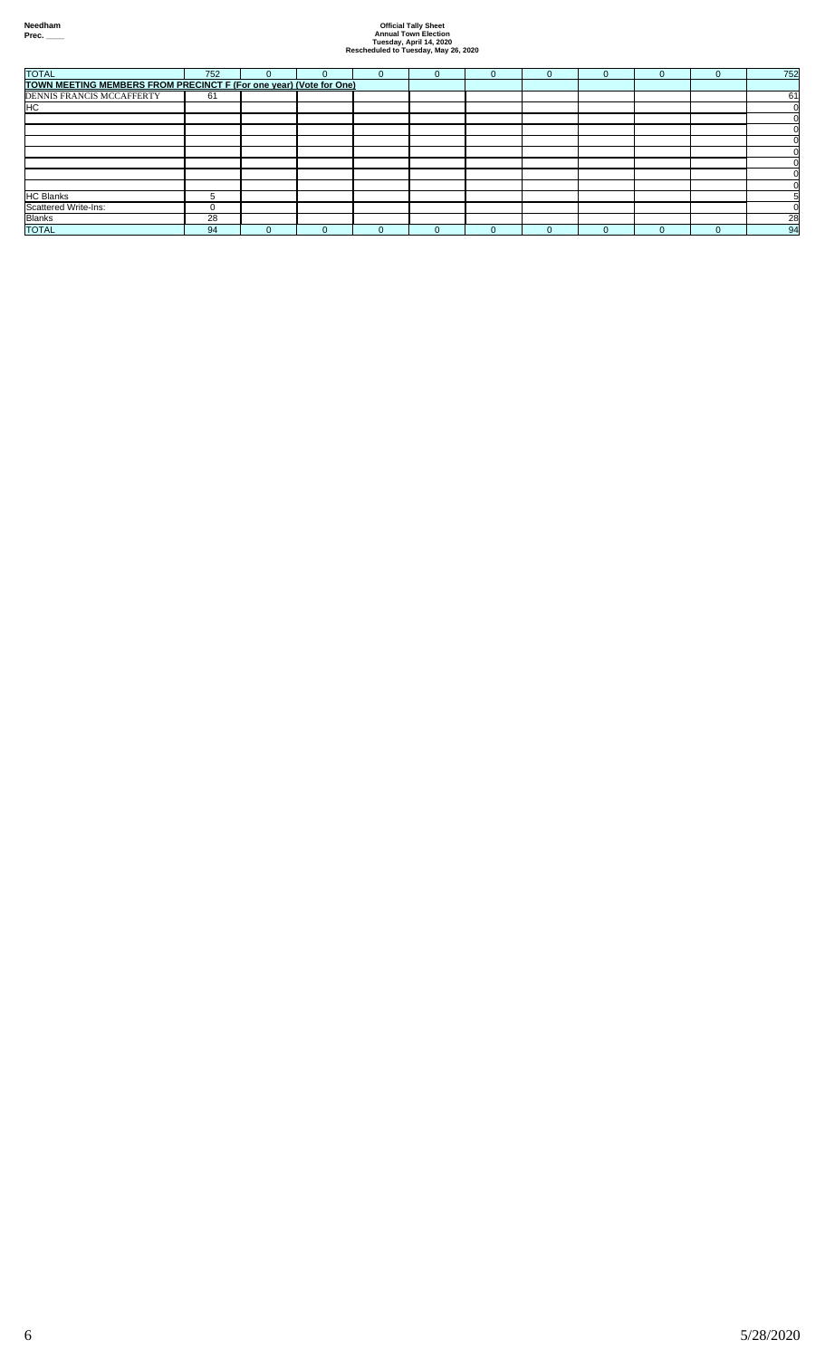|                                |    |  | $\mathbf{U}$ | $\Omega$ | U | $\Omega$ | 0 | $\Omega$ | 752 |
|--------------------------------|----|--|--------------|----------|---|----------|---|----------|-----|
|                                |    |  |              |          |   |          |   |          |     |
| DENNIS FRANCIS MCCAFFERTY      | 61 |  |              |          |   |          |   |          | 61  |
| HC                             |    |  |              |          |   |          |   |          |     |
|                                |    |  |              |          |   |          |   |          |     |
|                                |    |  |              |          |   |          |   |          |     |
|                                |    |  |              |          |   |          |   |          |     |
|                                |    |  |              |          |   |          |   |          |     |
|                                |    |  |              |          |   |          |   |          |     |
|                                |    |  |              |          |   |          |   |          |     |
|                                |    |  |              |          |   |          |   |          |     |
| <b>HC Blanks</b>               | G. |  |              |          |   |          |   |          |     |
|                                |    |  |              |          |   |          |   |          |     |
| Scattered Write-Ins:<br>Blanks | 28 |  |              |          |   |          |   |          | 28  |
| <b>TOTAL</b>                   | 94 |  |              |          |   | $\Omega$ |   |          | 94  |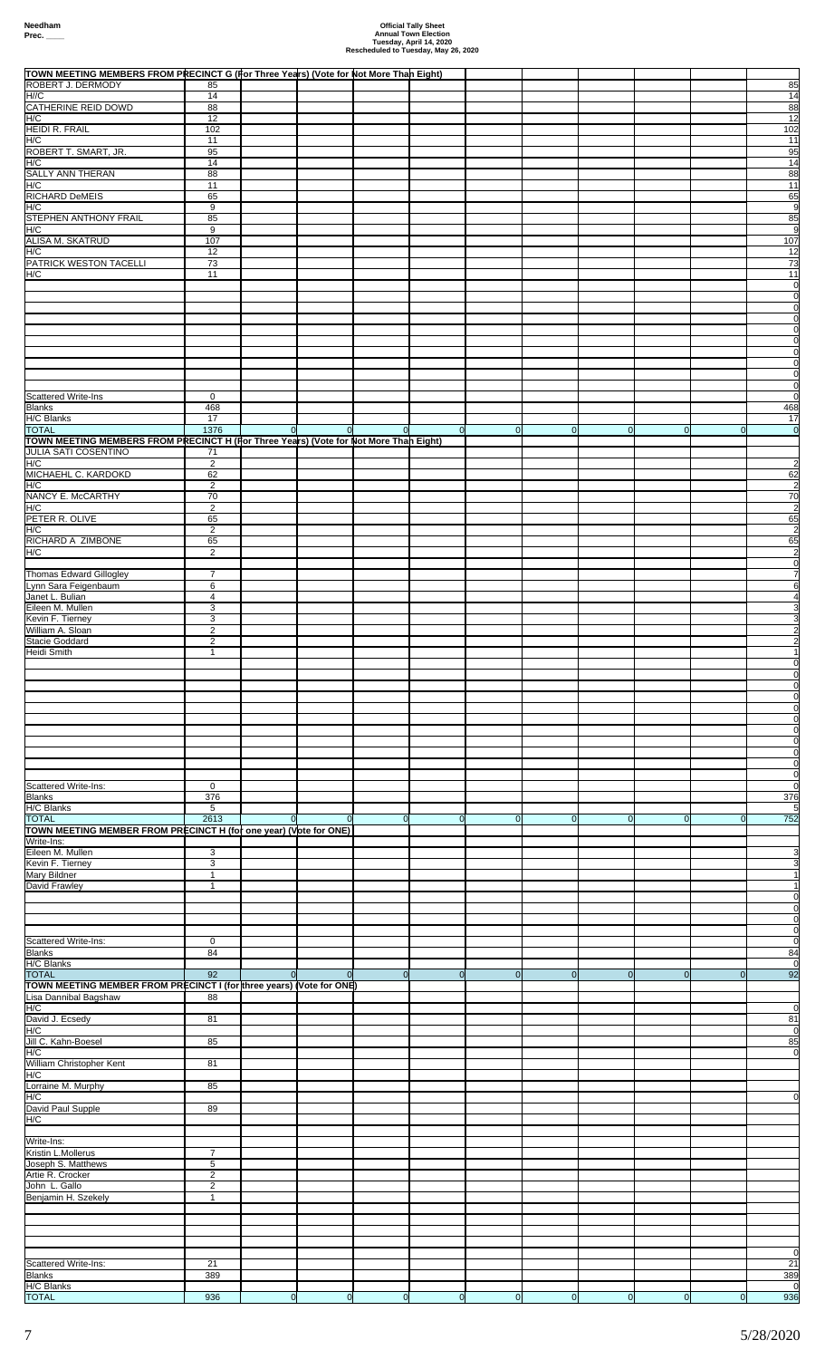| TOWN MEETING MEMBERS FROM PRECINCT G (For Three Years) (Vote for Not More Than Eight)<br>ROBERT J. DERMODY | 85                            |                |                |                |                |                |                |                |                |               | 85                               |
|------------------------------------------------------------------------------------------------------------|-------------------------------|----------------|----------------|----------------|----------------|----------------|----------------|----------------|----------------|---------------|----------------------------------|
| H//C<br>CATHERINE REID DOWD                                                                                | 14                            |                |                |                |                |                |                |                |                |               | 14                               |
| H/C                                                                                                        | 88<br>12                      |                |                |                |                |                |                |                |                |               | 88<br>12                         |
| <b>HEIDI R. FRAIL</b><br>H/C                                                                               | 102<br>11                     |                |                |                |                |                |                |                |                |               | 102<br>11                        |
| ROBERT T. SMART, JR.<br>H/C                                                                                | 95<br>14                      |                |                |                |                |                |                |                |                |               | 95<br>14                         |
| SALLY ANN THERAN                                                                                           | 88                            |                |                |                |                |                |                |                |                |               | 88                               |
| H/C<br>RICHARD DeMEIS                                                                                      | 11<br>65                      |                |                |                |                |                |                |                |                |               | 11<br>65                         |
| H/C<br>STEPHEN ANTHONY FRAIL                                                                               | 9<br>85                       |                |                |                |                |                |                |                |                |               | 9<br>85                          |
| H/C                                                                                                        | 9                             |                |                |                |                |                |                |                |                |               | 9                                |
| <b>ALISA M. SKATRUD</b><br>H/C                                                                             | 107<br>12                     |                |                |                |                |                |                |                |                |               | 107<br>12                        |
| PATRICK WESTON TACELLI<br>H/C                                                                              | 73<br>11                      |                |                |                |                |                |                |                |                |               | 73<br>11                         |
|                                                                                                            |                               |                |                |                |                |                |                |                |                |               | $\overline{0}$                   |
|                                                                                                            |                               |                |                |                |                |                |                |                |                |               | $\overline{0}$<br>$\overline{0}$ |
|                                                                                                            |                               |                |                |                |                |                |                |                |                |               | $\overline{0}$<br>$\overline{0}$ |
|                                                                                                            |                               |                |                |                |                |                |                |                |                |               | $\overline{0}$<br>$\overline{0}$ |
|                                                                                                            |                               |                |                |                |                |                |                |                |                |               | $\overline{0}$                   |
|                                                                                                            |                               |                |                |                |                |                |                |                |                |               | $\overline{0}$<br>$\overline{0}$ |
| <b>Scattered Write-Ins</b><br>Blanks                                                                       | 0<br>468                      |                |                |                |                |                |                |                |                |               | $\Omega$<br>468                  |
| H/C Blanks                                                                                                 | 17                            |                |                |                |                |                |                |                |                |               | 17                               |
| <b>TOTAL</b><br>TOWN MEETING MEMBERS FROM PRECINCT H (For Three Years) (Vote for Not More Than Eight)      | 1376                          | $\overline{0}$ | $\Omega$       | $\overline{0}$ | $\overline{0}$ | $\Omega$       | $\overline{0}$ | <sup>ol</sup>  | $\overline{0}$ | <sup>ol</sup> | 0                                |
| <b>JULIA SATI COSENTINO</b><br>H/C                                                                         | 71<br>$\overline{2}$          |                |                |                |                |                |                |                |                |               | $\overline{2}$                   |
| MICHAEHL C. KARDOKD<br>H/C                                                                                 | 62<br>$\overline{2}$          |                |                |                |                |                |                |                |                |               | 62<br>$\overline{2}$             |
| NANCY E. McCARTHY                                                                                          | 70                            |                |                |                |                |                |                |                |                |               | 70                               |
| H/C<br>PETER R. OLIVE                                                                                      | $\overline{2}$<br>65          |                |                |                |                |                |                |                |                |               | $\overline{2}$<br>65             |
| H/C<br>RICHARD A ZIMBONE                                                                                   | $\overline{2}$<br>65          |                |                |                |                |                |                |                |                |               | $\overline{2}$<br>65             |
| H/C                                                                                                        | 2                             |                |                |                |                |                |                |                |                |               | $\overline{2}$                   |
| <b>Thomas Edward Gillogley</b>                                                                             | $\overline{7}$                |                |                |                |                |                |                |                |                |               | $\overline{0}$<br>7              |
| Lynn Sara Feigenbaum<br>Janet L. Bulian                                                                    | 6<br>$\overline{4}$           |                |                |                |                |                |                |                |                |               | 6                                |
| Eileen M. Mullen<br>Kevin F. Tierney                                                                       | 3<br>3                        |                |                |                |                |                |                |                |                |               |                                  |
| William A. Sloan                                                                                           | $\overline{2}$                |                |                |                |                |                |                |                |                |               |                                  |
| Stacie Goddard<br>Heidi Smith                                                                              | $\overline{2}$<br>-1          |                |                |                |                |                |                |                |                |               |                                  |
|                                                                                                            |                               |                |                |                |                |                |                |                |                |               | <sub>0</sub><br>0                |
|                                                                                                            |                               |                |                |                |                |                |                |                |                |               |                                  |
|                                                                                                            |                               |                |                |                |                |                |                |                |                |               |                                  |
|                                                                                                            |                               |                |                |                |                |                |                |                |                |               | $\overline{0}$                   |
|                                                                                                            |                               |                |                |                |                |                |                |                |                |               | $\overline{0}$<br>0              |
|                                                                                                            |                               |                |                |                |                |                |                |                |                |               | $\overline{0}$                   |
| Scattered Write-Ins:                                                                                       | 0                             |                |                |                |                |                |                |                |                |               | $\overline{0}$<br>$\overline{0}$ |
| Blanks<br>H/C Blanks                                                                                       | 376<br>5                      |                |                |                |                |                |                |                |                |               | 376<br>$5\overline{)}$           |
| <b>TOTAL</b>                                                                                               | 2613                          | $\Omega$       | $\Omega$       | $\Omega$       | $\Omega$       | $\overline{0}$ | $\overline{0}$ | $\overline{0}$ | $\overline{0}$ |               | 752                              |
| TOWN MEETING MEMBER FROM PRECINCT H (for one year) (Vote for ONE)<br>Write-Ins:                            |                               |                |                |                |                |                |                |                |                |               |                                  |
| Eileen M. Mullen<br>Kevin F. Tierney                                                                       | 3<br>3                        |                |                |                |                |                |                |                |                |               |                                  |
| Mary Bildner<br>David Frawley                                                                              | $\mathbf{1}$<br>1             |                |                |                |                |                |                |                |                |               |                                  |
|                                                                                                            |                               |                |                |                |                |                |                |                |                |               |                                  |
|                                                                                                            |                               |                |                |                |                |                |                |                |                |               | 0<br>0                           |
| Scattered Write-Ins:                                                                                       | $\mathbf 0$                   |                |                |                |                |                |                |                |                |               | 0<br>$\Omega$                    |
| Blanks<br>H/C Blanks                                                                                       | 84                            |                |                |                |                |                |                |                |                |               | 84<br>$\overline{0}$             |
| <b>TOTAL</b>                                                                                               | 92                            | $\Omega$       | $\Omega$       | $\Omega$       | $\Omega$       | $\overline{0}$ | $\mathbf 0$    | $\overline{0}$ | $\overline{0}$ | $\Omega$      | 92                               |
| TOWN MEETING MEMBER FROM PRECINCT I (for three years) (Vote for ONE)<br>Lisa Dannibal Bagshaw              | 88                            |                |                |                |                |                |                |                |                |               |                                  |
| H/C<br>David J. Ecsedy                                                                                     | 81                            |                |                |                |                |                |                |                |                |               | 81                               |
| H/C<br>Jill C. Kahn-Boesel                                                                                 | 85                            |                |                |                |                |                |                |                |                |               | $\Omega$<br>85                   |
| H/C                                                                                                        |                               |                |                |                |                |                |                |                |                |               | 0                                |
| William Christopher Kent<br>H/C                                                                            | 81                            |                |                |                |                |                |                |                |                |               |                                  |
| Lorraine M. Murphy<br>H/C                                                                                  | 85                            |                |                |                |                |                |                |                |                |               |                                  |
| David Paul Supple                                                                                          | 89                            |                |                |                |                |                |                |                |                |               |                                  |
| H/C                                                                                                        |                               |                |                |                |                |                |                |                |                |               |                                  |
| Write-Ins:<br>Kristin L.Mollerus                                                                           | $\overline{7}$                |                |                |                |                |                |                |                |                |               |                                  |
| Joseph S. Matthews<br>Artie R. Crocker                                                                     | $\,$ 5 $\,$<br>$\overline{2}$ |                |                |                |                |                |                |                |                |               |                                  |
| John L. Gallo                                                                                              | $\overline{2}$                |                |                |                |                |                |                |                |                |               |                                  |
| Benjamin H. Szekely                                                                                        | $\mathbf{1}$                  |                |                |                |                |                |                |                |                |               |                                  |
|                                                                                                            |                               |                |                |                |                |                |                |                |                |               |                                  |
|                                                                                                            |                               |                |                |                |                |                |                |                |                |               |                                  |
| Scattered Write-Ins:                                                                                       | 21                            |                |                |                |                |                |                |                |                |               | $\Omega$<br>21                   |
| <u>Blanks</u><br>H/C Blanks                                                                                | <u>389</u>                    |                |                |                |                |                |                |                |                |               | <u>389</u><br>- 0                |
| <b>TOTAL</b>                                                                                               | 936                           | $\overline{0}$ | $\overline{0}$ | $\overline{0}$ | $\overline{0}$ | $\overline{0}$ | 0              | $\mathsf{O}$   | 0              | $\mathbf{0}$  | 936                              |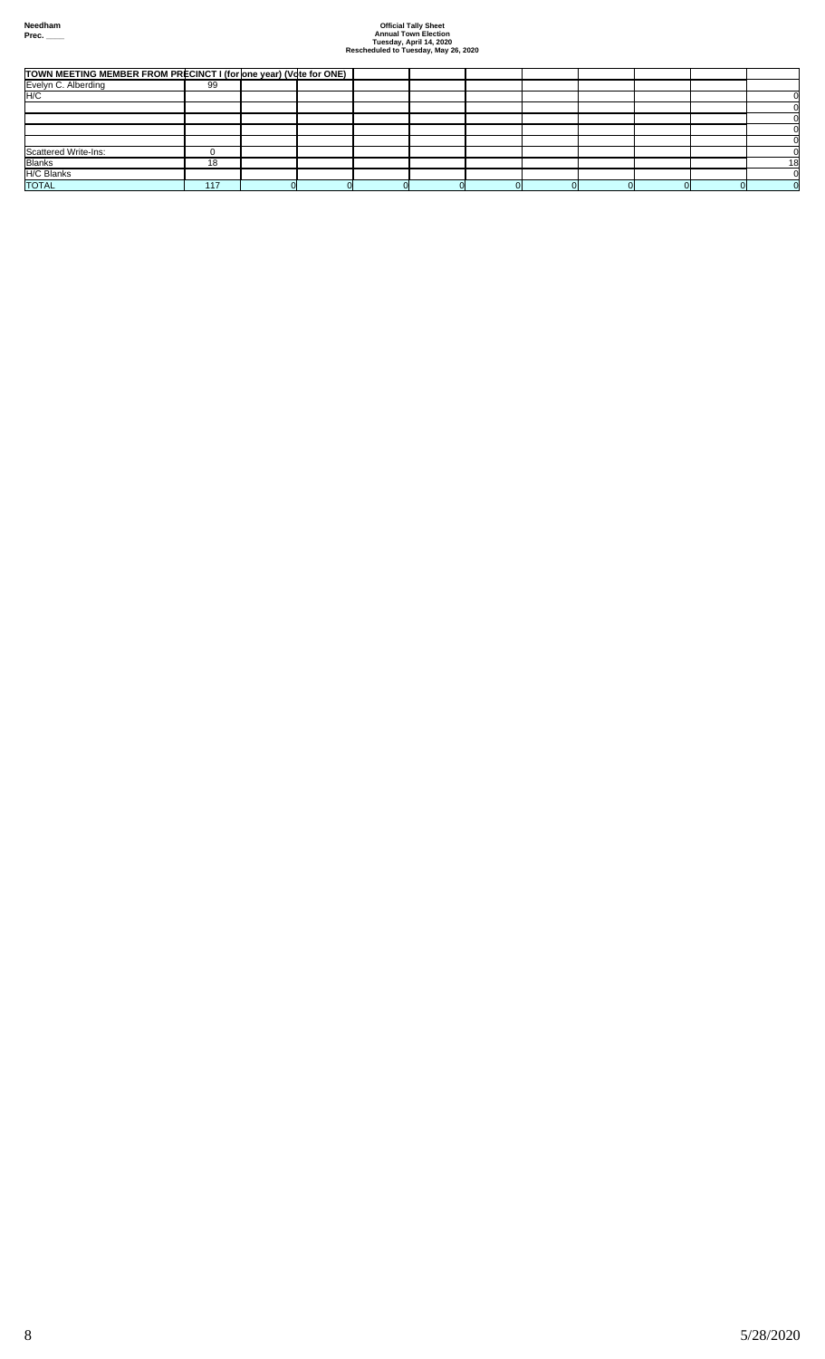| TOWN MEETING MEMBER FROM PRECINCT I (for one year) (Vote for ONE) |     |  |  |  |  |    |
|-------------------------------------------------------------------|-----|--|--|--|--|----|
| Evelyn C. Alberding                                               | 99  |  |  |  |  |    |
| H/C                                                               |     |  |  |  |  |    |
|                                                                   |     |  |  |  |  |    |
|                                                                   |     |  |  |  |  |    |
|                                                                   |     |  |  |  |  |    |
|                                                                   |     |  |  |  |  |    |
| <b>Scattered Write-Ins:</b>                                       |     |  |  |  |  |    |
| <b>Blanks</b>                                                     | 18  |  |  |  |  | 18 |
| <b>H/C Blanks</b>                                                 |     |  |  |  |  |    |
| <b>TOTAL</b>                                                      | 117 |  |  |  |  |    |